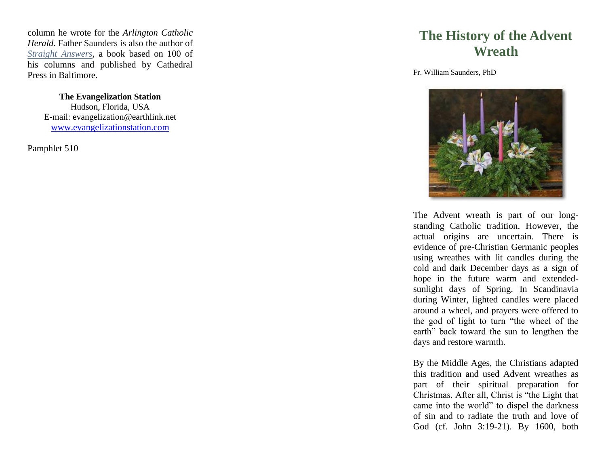column he wrote for the *Arlington Catholic Herald*. Father Saunders is also the author of *Straight Answers*, a book based on 100 of his columns and published by Cathedral Press in Baltimore.

> **The Evangelization Station** Hudson, Florida, USA E -mail: evangelization@earthlink.net [www.evangelizationstation.com](http://www.pjpiisoe.org/)

Pamphlet 510

## **The History of the Advent Wreath**

Fr. William Saunders, Ph D



The Advent wreath is part of our long standing Catholic tradition. However, the actual origins are uncertain. There is evidence of pre -Christian Germanic peoples using wreathes with lit candles during the cold and dark December days as a sign of hope in the future warm and extended sunlight days of Spring. In Scandinavia during Winter, lighted candles were placed around a wheel, and prayers were offered to the god of light to turn "the wheel of the earth" back toward the sun to lengthen the days and restore warmth.

By the Middle Ages, the Christians adapted this tradition and used Advent wreathes as part of their spiritual preparation for Christmas. After all, Christ is "the Light that came into the world" to dispel the darkness of sin and to radiate the truth and love of God (cf. John 3:19 -21). By 1600, both